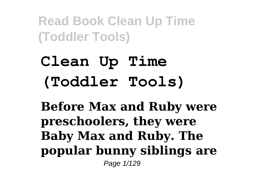# **Clean Up Time (Toddler Tools)**

**Before Max and Ruby were preschoolers, they were Baby Max and Ruby. The popular bunny siblings are** Page 1/129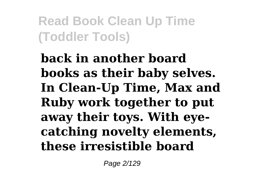**back in another board books as their baby selves. In Clean-Up Time, Max and Ruby work together to put away their toys. With eyecatching novelty elements, these irresistible board**

Page 2/129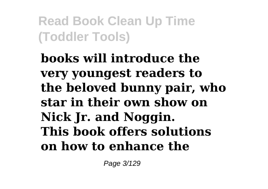**books will introduce the very youngest readers to the beloved bunny pair, who star in their own show on Nick Jr. and Noggin. This book offers solutions on how to enhance the**

Page 3/129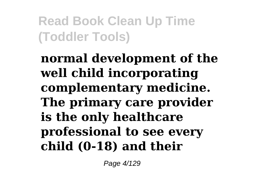**normal development of the well child incorporating complementary medicine. The primary care provider is the only healthcare professional to see every child (0-18) and their**

Page 4/129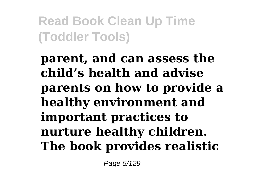**parent, and can assess the child's health and advise parents on how to provide a healthy environment and important practices to nurture healthy children. The book provides realistic**

Page 5/129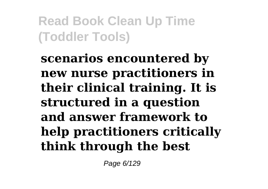**scenarios encountered by new nurse practitioners in their clinical training. It is structured in a question and answer framework to help practitioners critically think through the best**

Page 6/129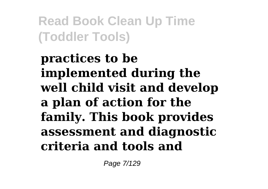**practices to be implemented during the well child visit and develop a plan of action for the family. This book provides assessment and diagnostic criteria and tools and**

Page 7/129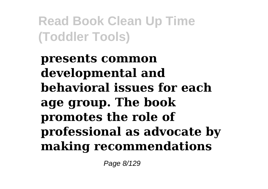**presents common developmental and behavioral issues for each age group. The book promotes the role of professional as advocate by making recommendations**

Page 8/129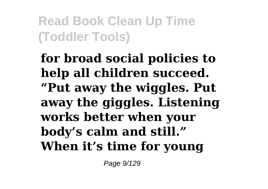**for broad social policies to help all children succeed. "Put away the wiggles. Put away the giggles. Listening works better when your body's calm and still." When it's time for young**

Page 9/129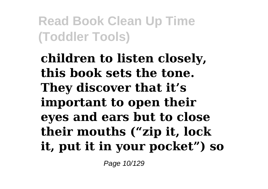**children to listen closely, this book sets the tone. They discover that it's important to open their eyes and ears but to close their mouths ("zip it, lock it, put it in your pocket") so**

Page 10/129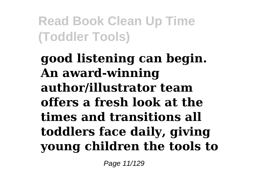**good listening can begin. An award-winning author/illustrator team offers a fresh look at the times and transitions all toddlers face daily, giving young children the tools to**

Page 11/129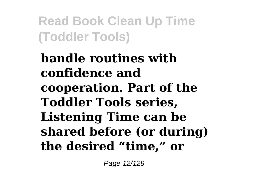**handle routines with confidence and cooperation. Part of the Toddler Tools series, Listening Time can be shared before (or during) the desired "time," or**

Page 12/129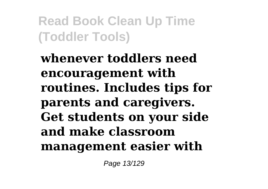**whenever toddlers need encouragement with routines. Includes tips for parents and caregivers. Get students on your side and make classroom management easier with**

Page 13/129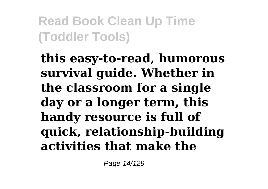**this easy-to-read, humorous survival guide. Whether in the classroom for a single day or a longer term, this handy resource is full of quick, relationship-building activities that make the**

Page 14/129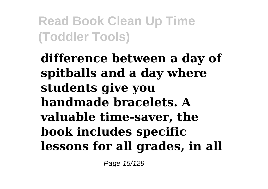**difference between a day of spitballs and a day where students give you handmade bracelets. A valuable time-saver, the book includes specific lessons for all grades, in all**

Page 15/129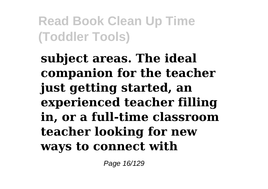**subject areas. The ideal companion for the teacher just getting started, an experienced teacher filling in, or a full-time classroom teacher looking for new ways to connect with**

Page 16/129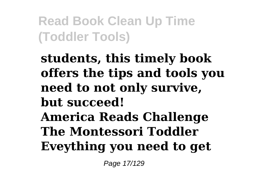**students, this timely book offers the tips and tools you need to not only survive, but succeed! America Reads Challenge The Montessori Toddler Eveything you need to get**

Page 17/129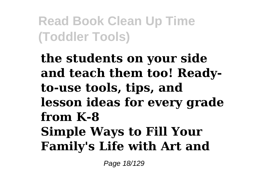**the students on your side and teach them too! Readyto-use tools, tips, and lesson ideas for every grade from K-8 Simple Ways to Fill Your Family's Life with Art and**

Page 18/129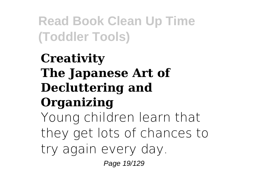## **Creativity The Japanese Art of Decluttering and Organizing** Young children learn that they get lots of chances to

try again every day.

Page 19/129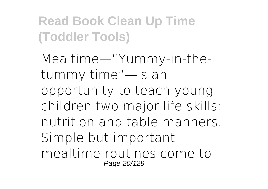Mealtime—"Yummy-in-thetummy time"—is an opportunity to teach young children two major life skills: nutrition and table manners. Simple but important mealtime routines come to Page 20/129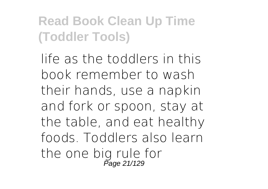life as the toddlers in this book remember to wash their hands, use a napkin and fork or spoon, stay at the table, and eat healthy foods. Toddlers also learn the one big rule for<br>Page 21/129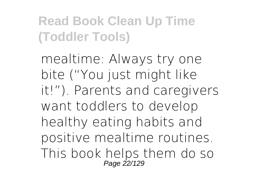mealtime: Always try one bite ("You just might like it!"). Parents and caregivers want toddlers to develop healthy eating habits and positive mealtime routines. This book helps them do so Page 22/129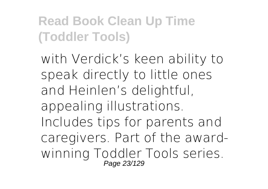with Verdick's keen ability to speak directly to little ones and Heinlen's delightful, appealing illustrations. Includes tips for parents and caregivers. Part of the awardwinning Toddler Tools series. Page 23/129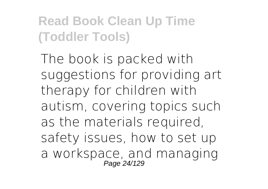The book is packed with suggestions for providing art therapy for children with autism, covering topics such as the materials required, safety issues, how to set up a workspace, and managing Page 24/129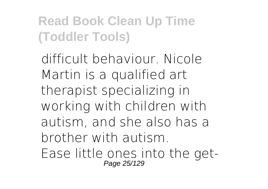difficult behaviour. Nicole Martin is a qualified art therapist specializing in working with children with autism, and she also has a brother with autism. Ease little ones into the get-Page 25/129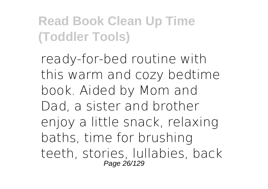ready-for-bed routine with this warm and cozy bedtime book. Aided by Mom and Dad, a sister and brother enjoy a little snack, relaxing baths, time for brushing teeth, stories, lullabies, back Page 26/129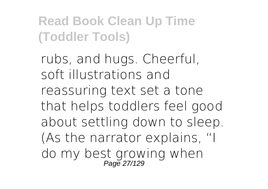rubs, and hugs. Cheerful, soft illustrations and reassuring text set a tone that helps toddlers feel good about settling down to sleep. (As the narrator explains, "I do my best growing when Page 27/129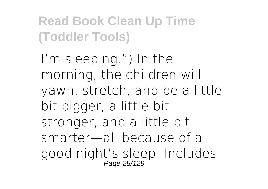I'm sleeping.") In the morning, the children will yawn, stretch, and be a little bit bigger, a little bit stronger, and a little bit smarter—all because of a good night's sleep. Includes Page 28/129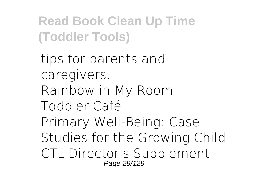tips for parents and caregivers. Rainbow in My Room Toddler Café Primary Well-Being: Case Studies for the Growing Child CTL Director's Supplement Page 29/129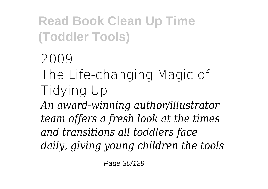2009 The Life-changing Magic of Tidying Up *An award-winning author/illustrator team offers a fresh look at the times and transitions all toddlers face daily, giving young children the tools*

Page 30/129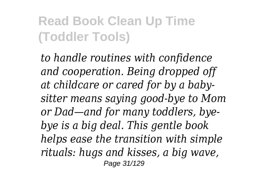*to handle routines with confidence and cooperation. Being dropped off at childcare or cared for by a babysitter means saying good-bye to Mom or Dad—and for many toddlers, byebye is a big deal. This gentle book helps ease the transition with simple rituals: hugs and kisses, a big wave,* Page 31/129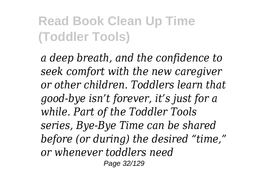*a deep breath, and the confidence to seek comfort with the new caregiver or other children. Toddlers learn that good-bye isn't forever, it's just for a while. Part of the Toddler Tools series, Bye-Bye Time can be shared before (or during) the desired "time," or whenever toddlers need* Page 32/129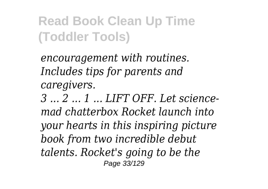*encouragement with routines. Includes tips for parents and caregivers.*

*3 ... 2 ... 1 ... LIFT OFF. Let sciencemad chatterbox Rocket launch into your hearts in this inspiring picture book from two incredible debut talents. Rocket's going to be the* Page 33/129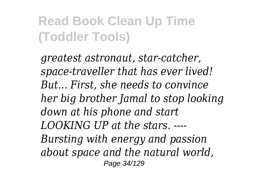*greatest astronaut, star-catcher, space-traveller that has ever lived! But... First, she needs to convince her big brother Jamal to stop looking down at his phone and start LOOKING UP at the stars. ---- Bursting with energy and passion about space and the natural world,* Page 34/129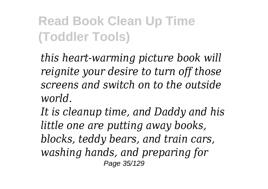*this heart-warming picture book will reignite your desire to turn off those screens and switch on to the outside world.*

*It is cleanup time, and Daddy and his little one are putting away books, blocks, teddy bears, and train cars, washing hands, and preparing for* Page 35/129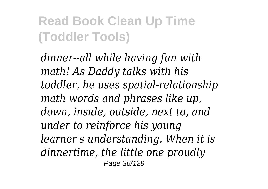*dinner--all while having fun with math! As Daddy talks with his toddler, he uses spatial-relationship math words and phrases like up, down, inside, outside, next to, and under to reinforce his young learner's understanding. When it is dinnertime, the little one proudly* Page 36/129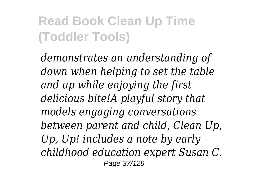*demonstrates an understanding of down when helping to set the table and up while enjoying the first delicious bite!A playful story that models engaging conversations between parent and child, Clean Up, Up, Up! includes a note by early childhood education expert Susan C.* Page 37/129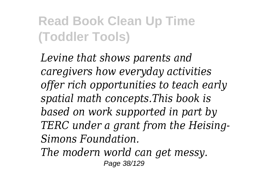*Levine that shows parents and caregivers how everyday activities offer rich opportunities to teach early spatial math concepts.This book is based on work supported in part by TERC under a grant from the Heising-Simons Foundation.*

*The modern world can get messy.* Page 38/129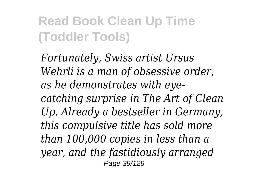*Fortunately, Swiss artist Ursus Wehrli is a man of obsessive order, as he demonstrates with eyecatching surprise in The Art of Clean Up. Already a bestseller in Germany, this compulsive title has sold more than 100,000 copies in less than a year, and the fastidiously arranged* Page 39/129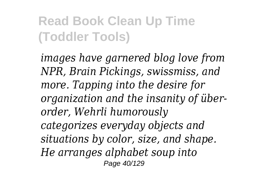*images have garnered blog love from NPR, Brain Pickings, swissmiss, and more. Tapping into the desire for organization and the insanity of überorder, Wehrli humorously categorizes everyday objects and situations by color, size, and shape. He arranges alphabet soup into* Page 40/129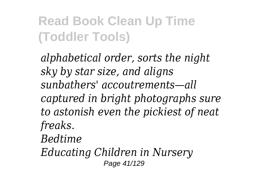*alphabetical order, sorts the night sky by star size, and aligns sunbathers' accoutrements—all captured in bright photographs sure to astonish even the pickiest of neat freaks. Bedtime Educating Children in Nursery* Page 41/129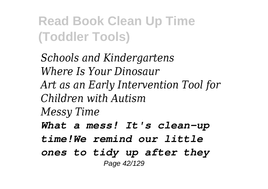*Schools and Kindergartens Where Is Your Dinosaur Art as an Early Intervention Tool for Children with Autism Messy Time What a mess! It's clean-up time!We remind our little ones to tidy up after they* Page 42/129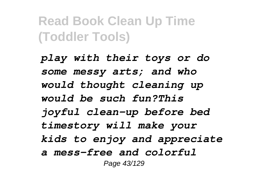*play with their toys or do some messy arts; and who would thought cleaning up would be such fun?This joyful clean-up before bed timestory will make your kids to enjoy and appreciate a mess-free and colorful* Page 43/129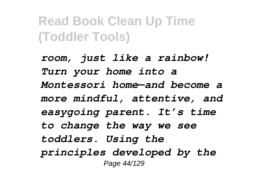*room, just like a rainbow! Turn your home into a Montessori home—and become a more mindful, attentive, and easygoing parent. It's time to change the way we see toddlers. Using the principles developed by the* Page 44/129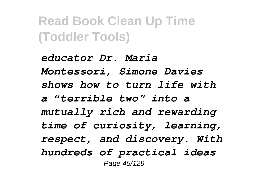*educator Dr. Maria Montessori, Simone Davies shows how to turn life with a "terrible two" into a mutually rich and rewarding time of curiosity, learning, respect, and discovery. With hundreds of practical ideas* Page 45/129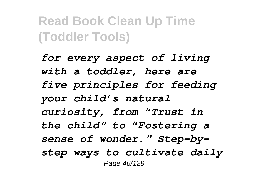*for every aspect of living with a toddler, here are five principles for feeding your child's natural curiosity, from "Trust in the child" to "Fostering a sense of wonder." Step-bystep ways to cultivate daily* Page 46/129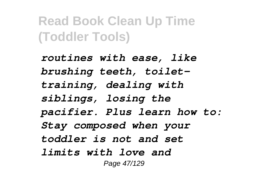*routines with ease, like brushing teeth, toilettraining, dealing with siblings, losing the pacifier. Plus learn how to: Stay composed when your toddler is not and set limits with love and* Page 47/129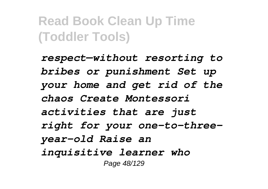*respect—without resorting to bribes or punishment Set up your home and get rid of the chaos Create Montessori activities that are just right for your one-to-threeyear-old Raise an inquisitive learner who* Page 48/129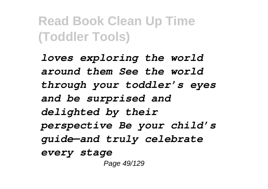*loves exploring the world around them See the world through your toddler's eyes and be surprised and delighted by their perspective Be your child's guide—and truly celebrate every stage* Page 49/129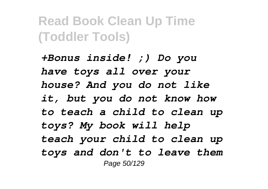*+Bonus inside! ;) Do you have toys all over your house? And you do not like it, but you do not know how to teach a child to clean up toys? My book will help teach your child to clean up toys and don't to leave them* Page 50/129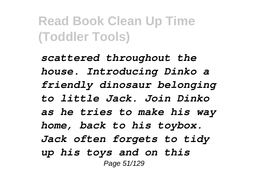*scattered throughout the house. Introducing Dinko a friendly dinosaur belonging to little Jack. Join Dinko as he tries to make his way home, back to his toybox. Jack often forgets to tidy up his toys and on this* Page 51/129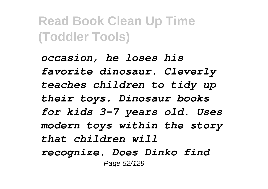*occasion, he loses his favorite dinosaur. Cleverly teaches children to tidy up their toys. Dinosaur books for kids 3-7 years old. Uses modern toys within the story that children will recognize. Does Dinko find* Page 52/129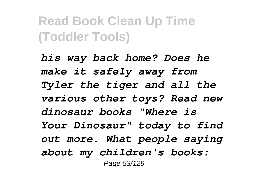*his way back home? Does he make it safely away from Tyler the tiger and all the various other toys? Read new dinosaur books "Where is Your Dinosaur" today to find out more. What people saying about my children's books:* Page 53/129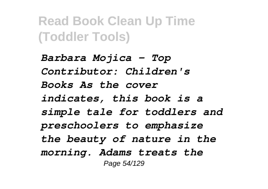*Barbara Mojica - Top Contributor: Children's Books As the cover indicates, this book is a simple tale for toddlers and preschoolers to emphasize the beauty of nature in the morning. Adams treats the* Page 54/129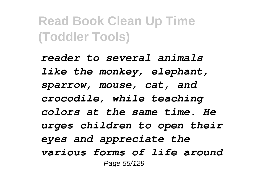*reader to several animals like the monkey, elephant, sparrow, mouse, cat, and crocodile, while teaching colors at the same time. He urges children to open their eyes and appreciate the various forms of life around* Page 55/129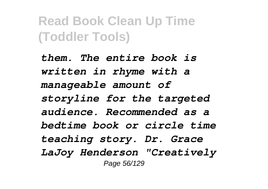*them. The entire book is written in rhyme with a manageable amount of storyline for the targeted audience. Recommended as a bedtime book or circle time teaching story. Dr. Grace LaJoy Henderson "Creatively* Page 56/129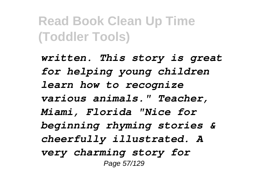*written. This story is great for helping young children learn how to recognize various animals." Teacher, Miami, Florida "Nice for beginning rhyming stories & cheerfully illustrated. A very charming story for* Page 57/129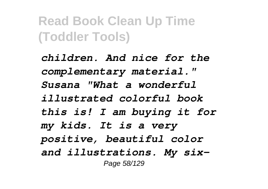*children. And nice for the complementary material." Susana "What a wonderful illustrated colorful book this is! I am buying it for my kids. It is a very positive, beautiful color and illustrations. My six-*Page 58/129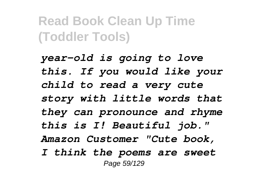*year-old is going to love this. If you would like your child to read a very cute story with little words that they can pronounce and rhyme this is I! Beautiful job." Amazon Customer "Cute book, I think the poems are sweet* Page 59/129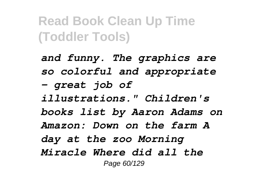*and funny. The graphics are so colorful and appropriate - great job of illustrations." Children's books list by Aaron Adams on Amazon: Down on the farm A day at the zoo Morning Miracle Where did all the* Page 60/129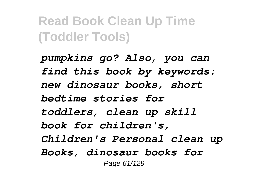*pumpkins go? Also, you can find this book by keywords: new dinosaur books, short bedtime stories for toddlers, clean up skill book for children's, Children's Personal clean up Books, dinosaur books for* Page 61/129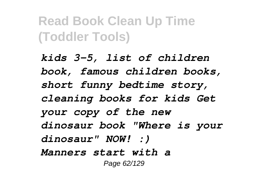*kids 3-5, list of children book, famous children books, short funny bedtime story, cleaning books for kids Get your copy of the new dinosaur book "Where is your dinosaur" NOW! :) Manners start with a* Page 62/129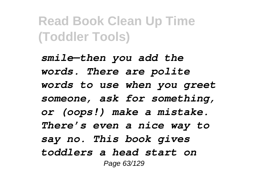*smile—then you add the words. There are polite words to use when you greet someone, ask for something, or (oops!) make a mistake. There's even a nice way to say no. This book gives toddlers a head start on* Page 63/129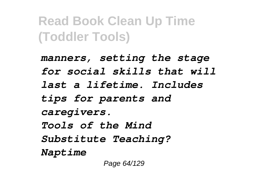*manners, setting the stage for social skills that will last a lifetime. Includes tips for parents and caregivers. Tools of the Mind Substitute Teaching? Naptime*

Page 64/129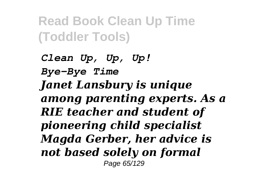*Clean Up, Up, Up! Bye-Bye Time Janet Lansbury is unique among parenting experts. As a RIE teacher and student of pioneering child specialist Magda Gerber, her advice is not based solely on formal* Page 65/129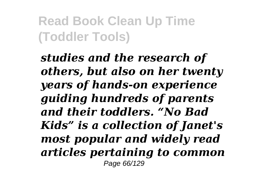*studies and the research of others, but also on her twenty years of hands-on experience guiding hundreds of parents and their toddlers. "No Bad Kids" is a collection of Janet's most popular and widely read articles pertaining to common* Page 66/129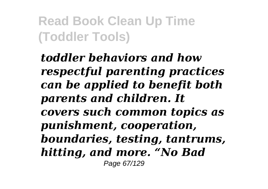*toddler behaviors and how respectful parenting practices can be applied to benefit both parents and children. It covers such common topics as punishment, cooperation, boundaries, testing, tantrums, hitting, and more. "No Bad* Page 67/129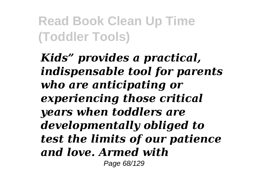*Kids" provides a practical, indispensable tool for parents who are anticipating or experiencing those critical years when toddlers are developmentally obliged to test the limits of our patience and love. Armed with* Page 68/129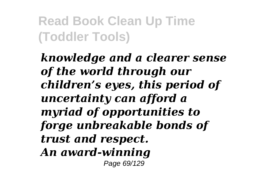*knowledge and a clearer sense of the world through our children's eyes, this period of uncertainty can afford a myriad of opportunities to forge unbreakable bonds of trust and respect. An award-winning* Page 69/129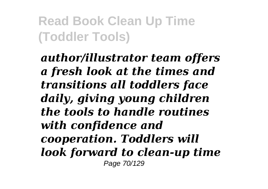*author/illustrator team offers a fresh look at the times and transitions all toddlers face daily, giving young children the tools to handle routines with confidence and cooperation. Toddlers will look forward to clean-up time* Page 70/129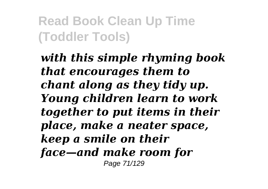*with this simple rhyming book that encourages them to chant along as they tidy up. Young children learn to work together to put items in their place, make a neater space, keep a smile on their face—and make room for* Page 71/129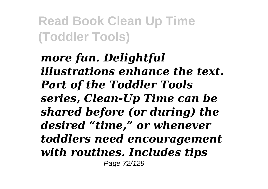*more fun. Delightful illustrations enhance the text. Part of the Toddler Tools series, Clean-Up Time can be shared before (or during) the desired "time," or whenever toddlers need encouragement with routines. Includes tips* Page 72/129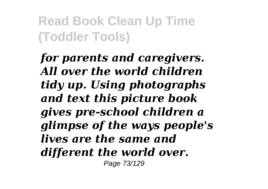*for parents and caregivers. All over the world children tidy up. Using photographs and text this picture book gives pre-school children a glimpse of the ways people's lives are the same and different the world over.* Page 73/129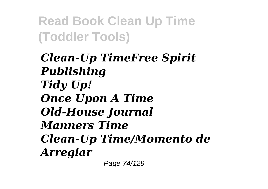*Clean-Up TimeFree Spirit Publishing Tidy Up! Once Upon A Time Old-House Journal Manners Time Clean-Up Time/Momento de Arreglar*

Page 74/129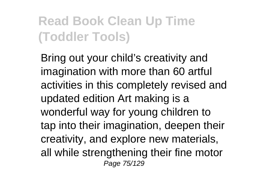Bring out your child's creativity and imagination with more than 60 artful activities in this completely revised and updated edition Art making is a wonderful way for young children to tap into their imagination, deepen their creativity, and explore new materials, all while strengthening their fine motor Page 75/129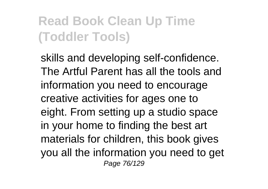skills and developing self-confidence. The Artful Parent has all the tools and information you need to encourage creative activities for ages one to eight. From setting up a studio space in your home to finding the best art materials for children, this book gives you all the information you need to get Page 76/129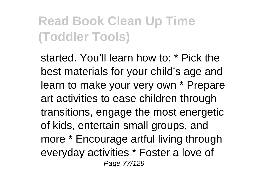started. You'll learn how to: \* Pick the best materials for your child's age and learn to make your very own \* Prepare art activities to ease children through transitions, engage the most energetic of kids, entertain small groups, and more \* Encourage artful living through everyday activities \* Foster a love of Page 77/129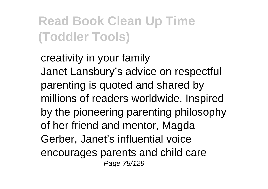creativity in your family Janet Lansbury's advice on respectful parenting is quoted and shared by millions of readers worldwide. Inspired by the pioneering parenting philosophy of her friend and mentor, Magda Gerber, Janet's influential voice encourages parents and child care Page 78/129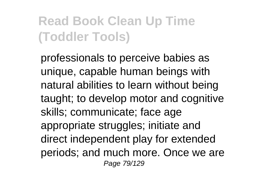professionals to perceive babies as unique, capable human beings with natural abilities to learn without being taught; to develop motor and cognitive skills; communicate; face age appropriate struggles; initiate and direct independent play for extended periods; and much more. Once we are Page 79/129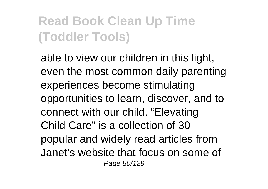able to view our children in this light, even the most common daily parenting experiences become stimulating opportunities to learn, discover, and to connect with our child. "Elevating Child Care" is a collection of 30 popular and widely read articles from Janet's website that focus on some of Page 80/129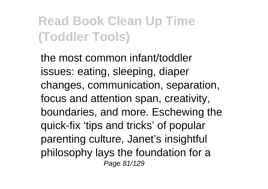the most common infant/toddler issues: eating, sleeping, diaper changes, communication, separation, focus and attention span, creativity, boundaries, and more. Eschewing the quick-fix 'tips and tricks' of popular parenting culture, Janet's insightful philosophy lays the foundation for a Page 81/129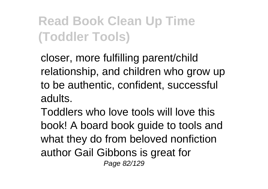closer, more fulfilling parent/child relationship, and children who grow up to be authentic, confident, successful adults.

Toddlers who love tools will love this book! A board book guide to tools and what they do from beloved nonfiction author Gail Gibbons is great for Page 82/129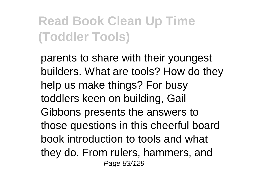parents to share with their youngest builders. What are tools? How do they help us make things? For busy toddlers keen on building, Gail Gibbons presents the answers to those questions in this cheerful board book introduction to tools and what they do. From rulers, hammers, and Page 83/129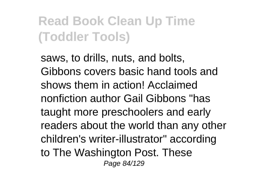saws, to drills, nuts, and bolts, Gibbons covers basic hand tools and shows them in action! Acclaimed nonfiction author Gail Gibbons "has taught more preschoolers and early readers about the world than any other children's writer-illustrator" according to The Washington Post. These Page 84/129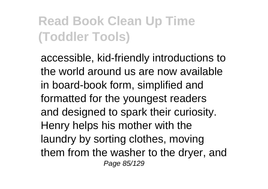accessible, kid-friendly introductions to the world around us are now available in board-book form, simplified and formatted for the youngest readers and designed to spark their curiosity. Henry helps his mother with the laundry by sorting clothes, moving them from the washer to the dryer, and Page 85/129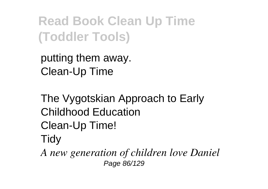putting them away. Clean-Up Time

The Vygotskian Approach to Early Childhood Education Clean-Up Time! **Tidy** 

*A new generation of children love Daniel* Page 86/129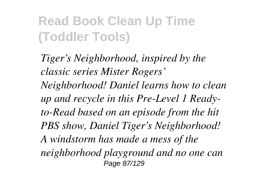*Tiger's Neighborhood, inspired by the classic series Mister Rogers' Neighborhood! Daniel learns how to clean up and recycle in this Pre-Level 1 Readyto-Read based on an episode from the hit PBS show, Daniel Tiger's Neighborhood! A windstorm has made a mess of the neighborhood playground and no one can* Page 87/129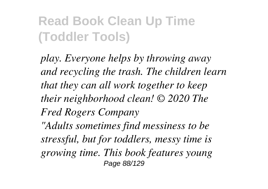*play. Everyone helps by throwing away and recycling the trash. The children learn that they can all work together to keep their neighborhood clean! © 2020 The Fred Rogers Company "Adults sometimes find messiness to be*

*stressful, but for toddlers, messy time is growing time. This book features young* Page 88/129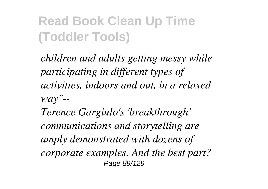*children and adults getting messy while participating in different types of activities, indoors and out, in a relaxed way"--*

*Terence Gargiulo's 'breakthrough' communications and storytelling are amply demonstrated with dozens of corporate examples. And the best part?* Page 89/129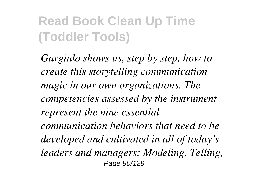*Gargiulo shows us, step by step, how to create this storytelling communication magic in our own organizations. The competencies assessed by the instrument represent the nine essential communication behaviors that need to be developed and cultivated in all of today's leaders and managers: Modeling, Telling,* Page 90/129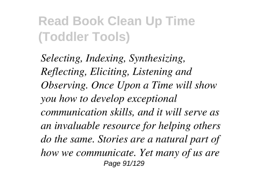*Selecting, Indexing, Synthesizing, Reflecting, Eliciting, Listening and Observing. Once Upon a Time will show you how to develop exceptional communication skills, and it will serve as an invaluable resource for helping others do the same. Stories are a natural part of how we communicate. Yet many of us are* Page 91/129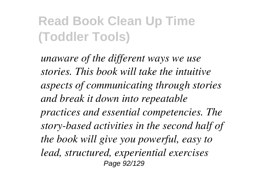*unaware of the different ways we use stories. This book will take the intuitive aspects of communicating through stories and break it down into repeatable practices and essential competencies. The story-based activities in the second half of the book will give you powerful, easy to lead, structured, experiential exercises* Page 92/129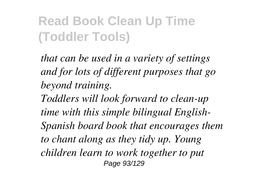*that can be used in a variety of settings and for lots of different purposes that go beyond training. Toddlers will look forward to clean-up time with this simple bilingual English-Spanish board book that encourages them to chant along as they tidy up. Young children learn to work together to put* Page 93/129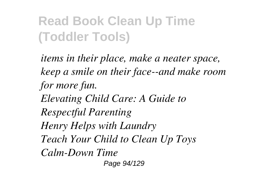*items in their place, make a neater space, keep a smile on their face--and make room for more fun. Elevating Child Care: A Guide to Respectful Parenting Henry Helps with Laundry Teach Your Child to Clean Up Toys Calm-Down Time*

Page 94/129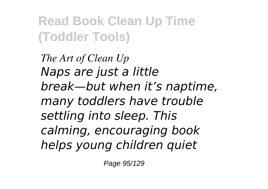*The Art of Clean Up Naps are just a little break—but when it's naptime, many toddlers have trouble settling into sleep. This calming, encouraging book helps young children quiet*

Page 95/129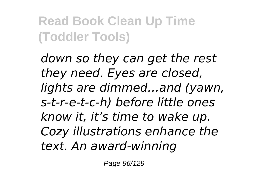*down so they can get the rest they need. Eyes are closed, lights are dimmed…and (yawn, s-t-r-e-t-c-h) before little ones know it, it's time to wake up. Cozy illustrations enhance the text. An award-winning*

Page 96/129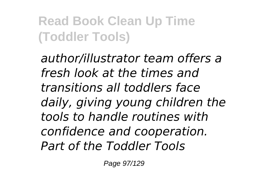*author/illustrator team offers a fresh look at the times and transitions all toddlers face daily, giving young children the tools to handle routines with confidence and cooperation. Part of the Toddler Tools*

Page 97/129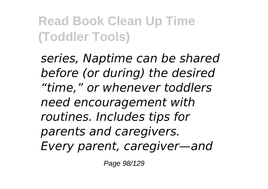*series, Naptime can be shared before (or during) the desired "time," or whenever toddlers need encouragement with routines. Includes tips for parents and caregivers. Every parent, caregiver—and*

Page 98/129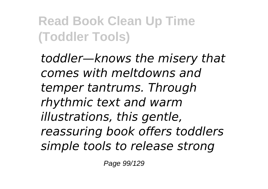*toddler—knows the misery that comes with meltdowns and temper tantrums. Through rhythmic text and warm illustrations, this gentle, reassuring book offers toddlers simple tools to release strong*

Page 99/129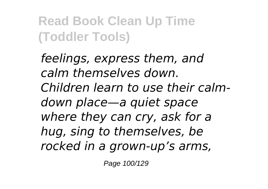*feelings, express them, and calm themselves down. Children learn to use their calmdown place—a quiet space where they can cry, ask for a hug, sing to themselves, be rocked in a grown-up's arms,*

Page 100/129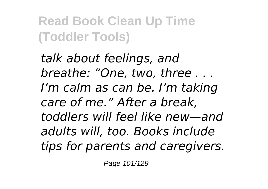*talk about feelings, and breathe: "One, two, three . . . I'm calm as can be. I'm taking care of me." After a break, toddlers will feel like new—and adults will, too. Books include tips for parents and caregivers.*

Page 101/129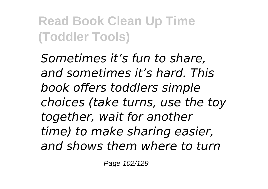*Sometimes it's fun to share, and sometimes it's hard. This book offers toddlers simple choices (take turns, use the toy together, wait for another time) to make sharing easier, and shows them where to turn*

Page 102/129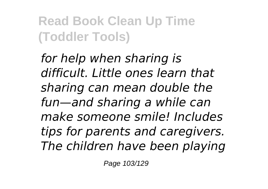*for help when sharing is difficult. Little ones learn that sharing can mean double the fun—and sharing a while can make someone smile! Includes tips for parents and caregivers. The children have been playing*

Page 103/129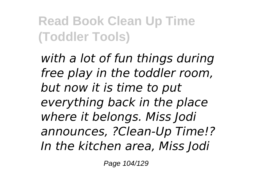*with a lot of fun things during free play in the toddler room, but now it is time to put everything back in the place where it belongs. Miss Jodi announces, ?Clean-Up Time!? In the kitchen area, Miss Jodi*

Page 104/129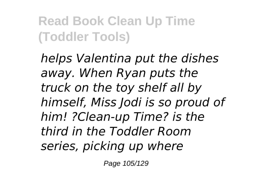*helps Valentina put the dishes away. When Ryan puts the truck on the toy shelf all by himself, Miss Jodi is so proud of him! ?Clean-up Time? is the third in the Toddler Room series, picking up where*

Page 105/129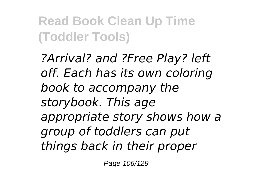*?Arrival? and ?Free Play? left off. Each has its own coloring book to accompany the storybook. This age appropriate story shows how a group of toddlers can put things back in their proper*

Page 106/129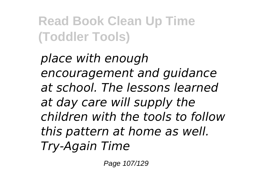*place with enough encouragement and guidance at school. The lessons learned at day care will supply the children with the tools to follow this pattern at home as well. Try-Again Time*

Page 107/129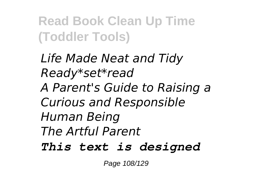*Life Made Neat and Tidy Ready\*set\*read A Parent's Guide to Raising a Curious and Responsible Human Being The Artful Parent This text is designed*

Page 108/129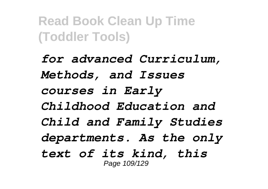*for advanced Curriculum, Methods, and Issues courses in Early Childhood Education and Child and Family Studies departments. As the only text of its kind, this* Page 109/129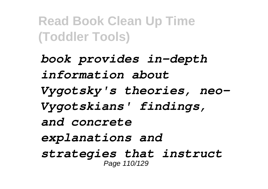*book provides in-depth information about Vygotsky's theories, neo-Vygotskians' findings, and concrete explanations and strategies that instruct* Page 110/129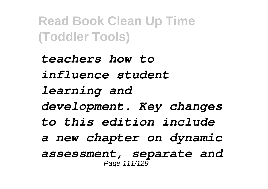*teachers how to influence student learning and development. Key changes to this edition include a new chapter on dynamic assessment, separate and* Page 111/129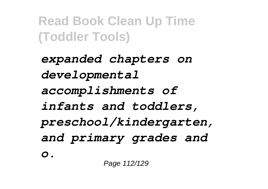*expanded chapters on developmental accomplishments of infants and toddlers, preschool/kindergarten, and primary grades and o.*

Page 112/129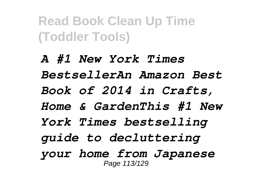*A #1 New York Times BestsellerAn Amazon Best Book of 2014 in Crafts, Home & GardenThis #1 New York Times bestselling guide to decluttering your home from Japanese* Page 113/129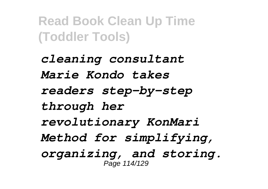*cleaning consultant Marie Kondo takes readers step-by-step through her revolutionary KonMari Method for simplifying, organizing, and storing.* Page 114/129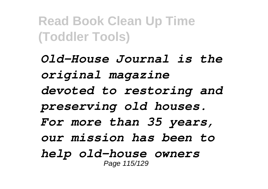*Old-House Journal is the original magazine devoted to restoring and preserving old houses. For more than 35 years, our mission has been to help old-house owners* Page 115/129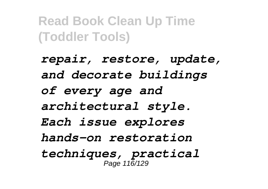*repair, restore, update, and decorate buildings of every age and architectural style. Each issue explores hands-on restoration techniques, practical* Page 116/129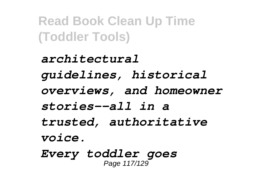*architectural guidelines, historical overviews, and homeowner stories--all in a trusted, authoritative voice. Every toddler goes*

Page 117/129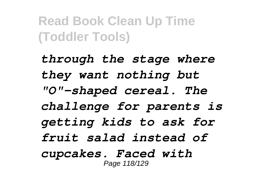*through the stage where they want nothing but "O"-shaped cereal. The challenge for parents is getting kids to ask for fruit salad instead of cupcakes. Faced with* Page 118/129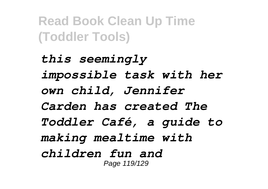*this seemingly impossible task with her own child, Jennifer Carden has created The Toddler Café, a guide to making mealtime with children fun and* Page 119/129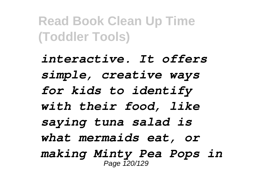*interactive. It offers simple, creative ways for kids to identify with their food, like saying tuna salad is what mermaids eat, or making Minty Pea Pops in* Page 120/129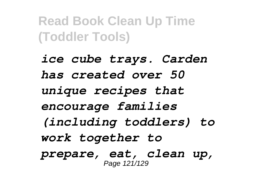*ice cube trays. Carden has created over 50 unique recipes that encourage families (including toddlers) to work together to prepare, eat, clean up,* Page 121/129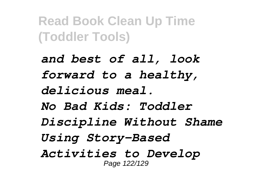*and best of all, look forward to a healthy, delicious meal. No Bad Kids: Toddler Discipline Without Shame Using Story-Based Activities to Develop* Page 122/129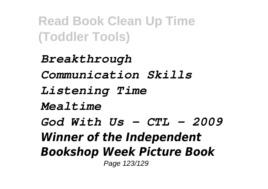*Breakthrough Communication Skills Listening Time Mealtime God With Us - CTL - 2009 Winner of the Independent Bookshop Week Picture Book* Page 123/129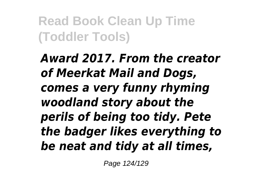*Award 2017. From the creator of Meerkat Mail and Dogs, comes a very funny rhyming woodland story about the perils of being too tidy. Pete the badger likes everything to be neat and tidy at all times,*

Page 124/129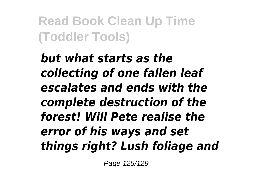*but what starts as the collecting of one fallen leaf escalates and ends with the complete destruction of the forest! Will Pete realise the error of his ways and set things right? Lush foliage and*

Page 125/129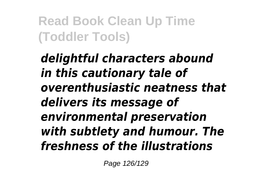*delightful characters abound in this cautionary tale of overenthusiastic neatness that delivers its message of environmental preservation with subtlety and humour. The freshness of the illustrations*

Page 126/129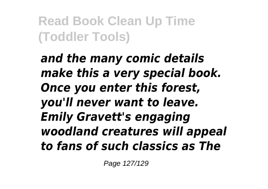*and the many comic details make this a very special book. Once you enter this forest, you'll never want to leave. Emily Gravett's engaging woodland creatures will appeal to fans of such classics as The*

Page 127/129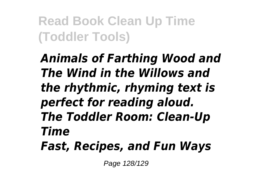*Animals of Farthing Wood and The Wind in the Willows and the rhythmic, rhyming text is perfect for reading aloud. The Toddler Room: Clean-Up Time Fast, Recipes, and Fun Ways*

Page 128/129